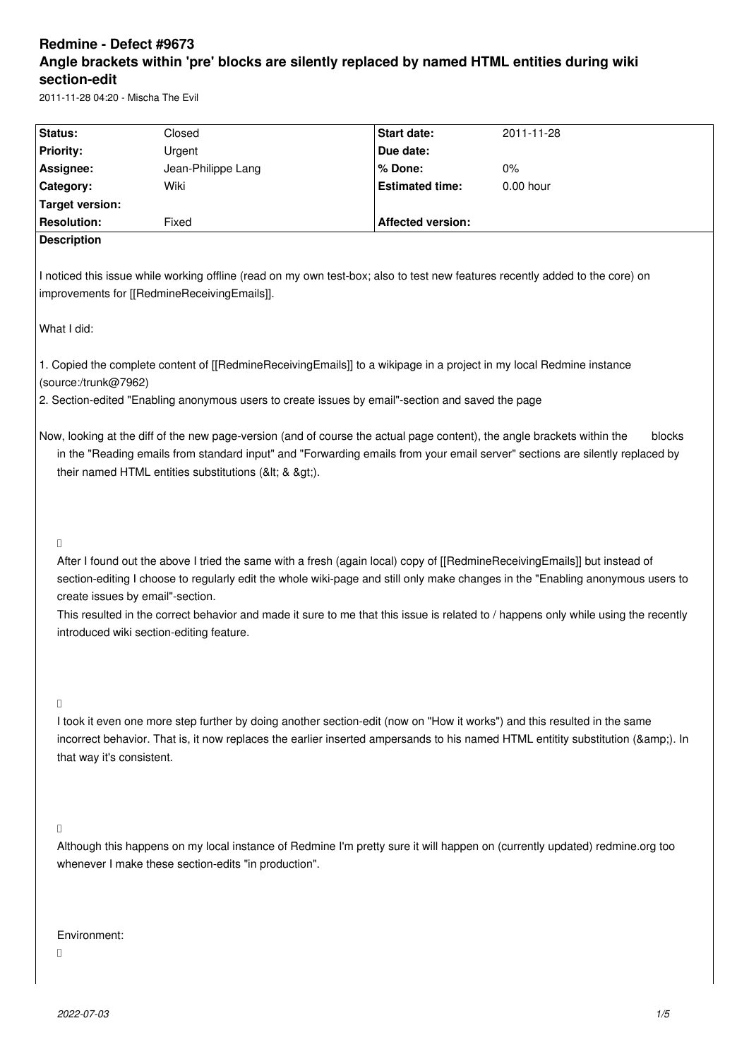# **Redmine - Defect #9673 Angle brackets within 'pre' blocks are silently replaced by named HTML entities during wiki section-edit**

2011-11-28 04:20 - Mischa The Evil

| Status:                                                                                                                                                                                                                                                                                                               |                                                                                                                                                                                                                                                                                                                                                                                                                                                                                   | Closed                                                                                                                                                                                                                                                   | Start date:              | 2011-11-28 |  |  |
|-----------------------------------------------------------------------------------------------------------------------------------------------------------------------------------------------------------------------------------------------------------------------------------------------------------------------|-----------------------------------------------------------------------------------------------------------------------------------------------------------------------------------------------------------------------------------------------------------------------------------------------------------------------------------------------------------------------------------------------------------------------------------------------------------------------------------|----------------------------------------------------------------------------------------------------------------------------------------------------------------------------------------------------------------------------------------------------------|--------------------------|------------|--|--|
| <b>Priority:</b>                                                                                                                                                                                                                                                                                                      |                                                                                                                                                                                                                                                                                                                                                                                                                                                                                   | Urgent                                                                                                                                                                                                                                                   | Due date:                |            |  |  |
| Assignee:                                                                                                                                                                                                                                                                                                             |                                                                                                                                                                                                                                                                                                                                                                                                                                                                                   | Jean-Philippe Lang                                                                                                                                                                                                                                       | % Done:                  | 0%         |  |  |
| Category:                                                                                                                                                                                                                                                                                                             |                                                                                                                                                                                                                                                                                                                                                                                                                                                                                   | Wiki                                                                                                                                                                                                                                                     | <b>Estimated time:</b>   | 0.00 hour  |  |  |
|                                                                                                                                                                                                                                                                                                                       | <b>Target version:</b>                                                                                                                                                                                                                                                                                                                                                                                                                                                            |                                                                                                                                                                                                                                                          |                          |            |  |  |
|                                                                                                                                                                                                                                                                                                                       | <b>Resolution:</b>                                                                                                                                                                                                                                                                                                                                                                                                                                                                | Fixed                                                                                                                                                                                                                                                    | <b>Affected version:</b> |            |  |  |
|                                                                                                                                                                                                                                                                                                                       | <b>Description</b>                                                                                                                                                                                                                                                                                                                                                                                                                                                                |                                                                                                                                                                                                                                                          |                          |            |  |  |
|                                                                                                                                                                                                                                                                                                                       |                                                                                                                                                                                                                                                                                                                                                                                                                                                                                   | I noticed this issue while working offline (read on my own test-box; also to test new features recently added to the core) on<br>improvements for [[RedmineReceivingEmails]].                                                                            |                          |            |  |  |
| What I did:                                                                                                                                                                                                                                                                                                           |                                                                                                                                                                                                                                                                                                                                                                                                                                                                                   |                                                                                                                                                                                                                                                          |                          |            |  |  |
|                                                                                                                                                                                                                                                                                                                       | (source:/trunk@7962)                                                                                                                                                                                                                                                                                                                                                                                                                                                              | 1. Copied the complete content of [[RedmineReceivingEmails]] to a wikipage in a project in my local Redmine instance<br>2. Section-edited "Enabling anonymous users to create issues by email"-section and saved the page                                |                          |            |  |  |
| Now, looking at the diff of the new page-version (and of course the actual page content), the angle brackets within the<br>blocks<br>in the "Reading emails from standard input" and "Forwarding emails from your email server" sections are silently replaced by<br>their named HTML entities substitutions (< & >). |                                                                                                                                                                                                                                                                                                                                                                                                                                                                                   |                                                                                                                                                                                                                                                          |                          |            |  |  |
| D                                                                                                                                                                                                                                                                                                                     | After I found out the above I tried the same with a fresh (again local) copy of [[RedmineReceivingEmails]] but instead of<br>section-editing I choose to regularly edit the whole wiki-page and still only make changes in the "Enabling anonymous users to<br>create issues by email"-section.<br>This resulted in the correct behavior and made it sure to me that this issue is related to / happens only while using the recently<br>introduced wiki section-editing feature. |                                                                                                                                                                                                                                                          |                          |            |  |  |
| $\Box$                                                                                                                                                                                                                                                                                                                | that way it's consistent.                                                                                                                                                                                                                                                                                                                                                                                                                                                         | I took it even one more step further by doing another section-edit (now on "How it works") and this resulted in the same<br>incorrect behavior. That is, it now replaces the earlier inserted ampersands to his named HTML entitity substitution (&). In |                          |            |  |  |
| П                                                                                                                                                                                                                                                                                                                     |                                                                                                                                                                                                                                                                                                                                                                                                                                                                                   | Although this happens on my local instance of Redmine I'm pretty sure it will happen on (currently updated) redmine.org too<br>whenever I make these section-edits "in production".                                                                      |                          |            |  |  |
|                                                                                                                                                                                                                                                                                                                       | Environment:                                                                                                                                                                                                                                                                                                                                                                                                                                                                      |                                                                                                                                                                                                                                                          |                          |            |  |  |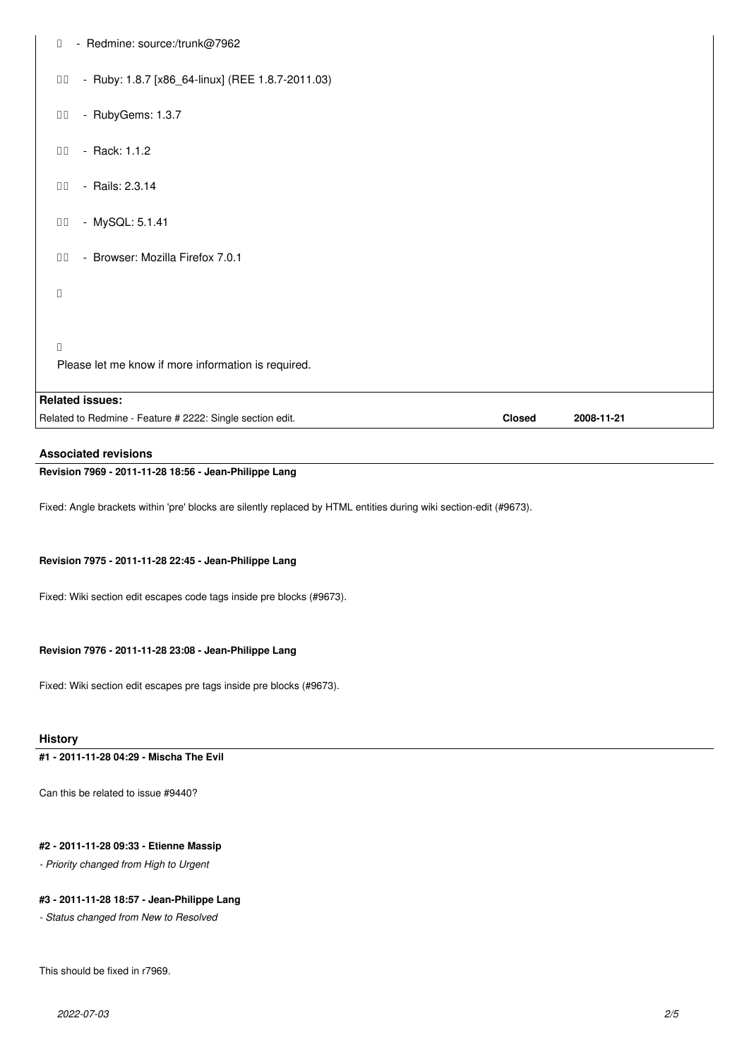| - Redmine: source:/trunk@7962<br>П                                |               |            |
|-------------------------------------------------------------------|---------------|------------|
| - Ruby: 1.8.7 [x86_64-linux] (REE 1.8.7-2011.03)<br>$\Box$ $\Box$ |               |            |
| - RubyGems: 1.3.7<br>$\Box$ $\Box$                                |               |            |
| - Rack: 1.1.2<br>$\Box$ Box                                       |               |            |
| - Rails: 2.3.14<br>$\Box$                                         |               |            |
| - MySQL: 5.1.41<br>$\Box$                                         |               |            |
| - Browser: Mozilla Firefox 7.0.1<br>$\Box$                        |               |            |
| $\Box$                                                            |               |            |
| $\Box$<br>Please let me know if more information is required.     |               |            |
| <b>Related issues:</b>                                            |               |            |
| Related to Redmine - Feature # 2222: Single section edit.         | <b>Closed</b> | 2008-11-21 |

**Associated revisions**

**Revision 7969 - 2011-11-28 18:56 - Jean-Philippe Lang**

Fixed: Angle brackets within 'pre' blocks are silently replaced by HTML entities during wiki section-edit (#9673).

### **Revision 7975 - 2011-11-28 22:45 - Jean-Philippe Lang**

Fixed: Wiki section edit escapes code tags inside pre blocks (#9673).

### **Revision 7976 - 2011-11-28 23:08 - Jean-Philippe Lang**

Fixed: Wiki section edit escapes pre tags inside pre blocks (#9673).

## **History**

**#1 - 2011-11-28 04:29 - Mischa The Evil**

Can this be related to issue #9440?

# **#2 - 2011-11-28 09:33 - Etienne Massip**

*- Priority changed from High to Urgent*

## **#3 - 2011-11-28 18:57 - Jean-Philippe Lang**

*- Status changed from New to Resolved*

This should be fixed in r7969.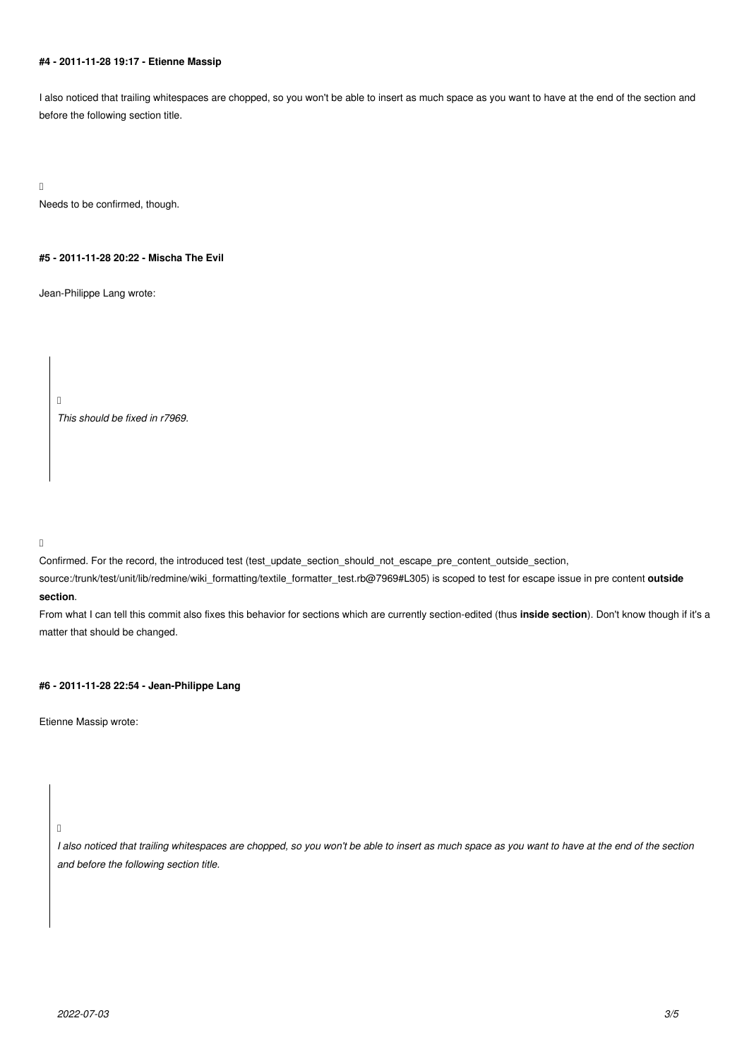# **#4 - 2011-11-28 19:17 - Etienne Massip**

I also noticed that trailing whitespaces are chopped, so you won't be able to insert as much space as you want to have at the end of the section and before the following section title.

 $\Box$ 

Needs to be confirmed, though.

### **#5 - 2011-11-28 20:22 - Mischa The Evil**

Jean-Philippe Lang wrote:

*This should be fixed in r7969.*

 $\Box$ 

Confirmed. For the record, the introduced test (test\_update\_section\_should\_not\_escape\_pre\_content\_outside\_section,

source:/trunk/test/unit/lib/redmine/wiki\_formatting/textile\_formatter\_test.rb@7969#L305) is scoped to test for escape issue in pre content **outside section**.

 $\Box$ 

From what I can tell this commit also fixes this behavior for sections which are currently section-edited (thus **inside section**). Don't know though if it's a matter that should be changed.

### **#6 - 2011-11-28 22:54 - Jean-Philippe Lang**

Etienne Massip wrote:

 $\mathbb{I}$ 

*I also noticed that trailing whitespaces are chopped, so you won't be able to insert as much space as you want to have at the end of the section and before the following section title.*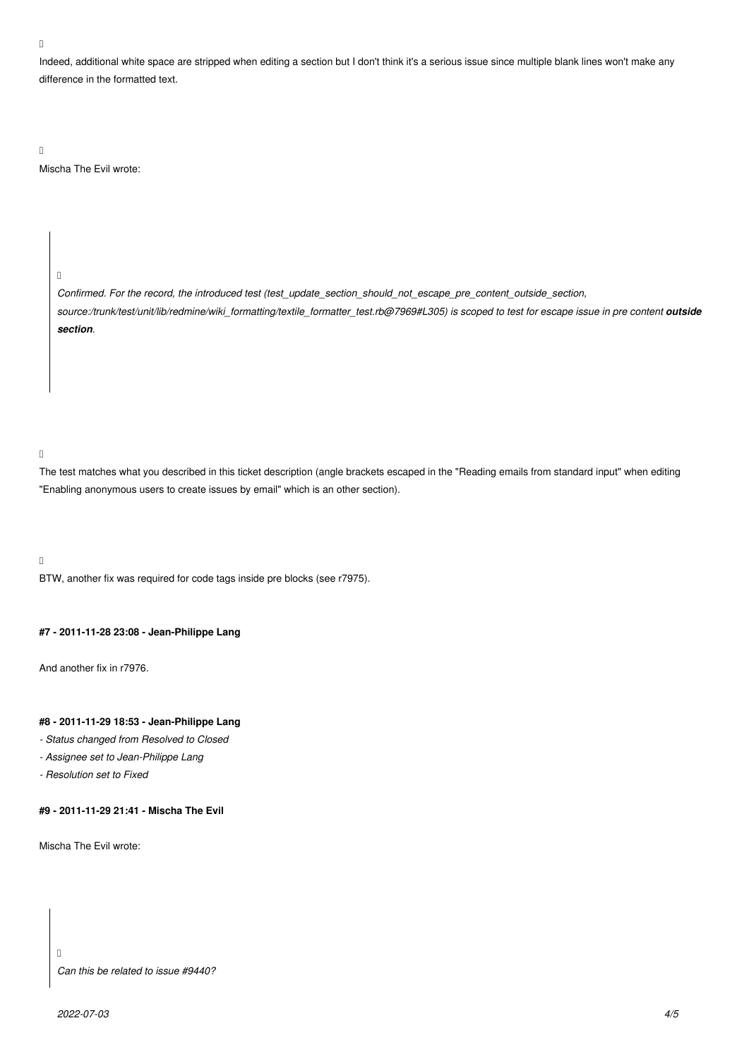### $\Box$

Indeed, additional white space are stripped when editing a section but I don't think it's a serious issue since multiple blank lines won't make any difference in the formatted text.

 $\Box$ 

Mischa The Evil wrote:

 $\Box$ 

*Confirmed. For the record, the introduced test (test\_update\_section\_should\_not\_escape\_pre\_content\_outside\_section,* source:/trunk/test/unit/lib/redmine/wiki\_formatting/textile\_formatter\_test.rb@7969#L305) is scoped to test for escape issue in pre content **outside** *section.*

 $\Box$ 

The test matches what you described in this ticket description (angle brackets escaped in the "Reading emails from standard input" when editing "Enabling anonymous users to create issues by email" which is an other section).

 $\Box$ 

BTW, another fix was required for code tags inside pre blocks (see r7975).

### **#7 - 2011-11-28 23:08 - Jean-Philippe Lang**

And another fix in r7976.

# **#8 - 2011-11-29 18:53 - Jean-Philippe Lang**

- *Status changed from Resolved to Closed*
- *Assignee set to Jean-Philippe Lang*
- *Resolution set to Fixed*

## **#9 - 2011-11-29 21:41 - Mischa The Evil**

Mischa The Evil wrote:

### *Can this be related to issue #9440?*

 $\Box$